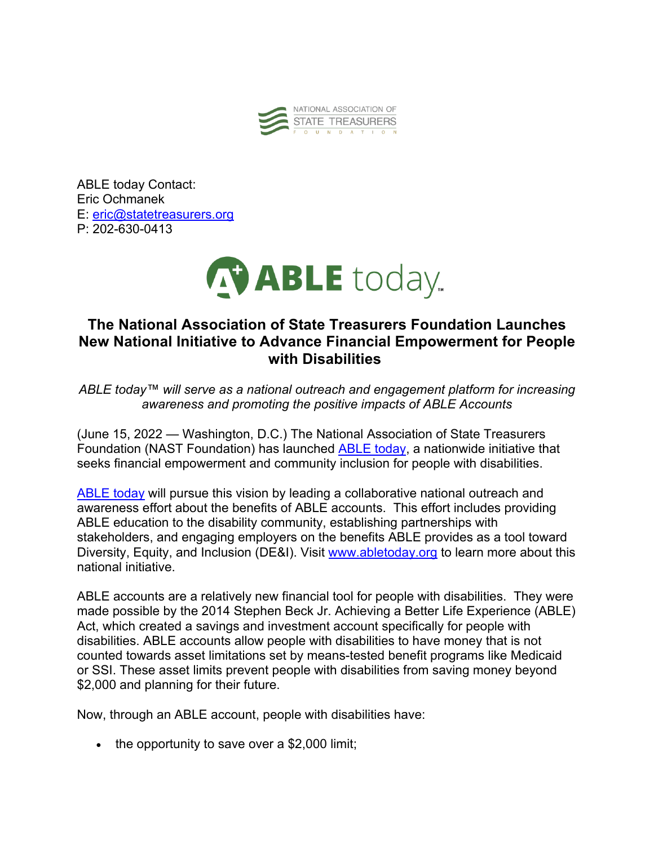

ABLE today Contact: Eric Ochmanek E: eric@statetreasurers.org P: 202-630-0413



## **The National Association of State Treasurers Foundation Launches New National Initiative to Advance Financial Empowerment for People with Disabilities**

*ABLE today™ will serve as a national outreach and engagement platform for increasing awareness and promoting the positive impacts of ABLE Accounts*

(June 15, 2022 — Washington, D.C.) The National Association of State Treasurers Foundation (NAST Foundation) has launched ABLE today, a nationwide initiative that seeks financial empowerment and community inclusion for people with disabilities.

ABLE today will pursue this vision by leading a collaborative national outreach and awareness effort about the benefits of ABLE accounts. This effort includes providing ABLE education to the disability community, establishing partnerships with stakeholders, and engaging employers on the benefits ABLE provides as a tool toward Diversity, Equity, and Inclusion (DE&I). Visit www.abletoday.org to learn more about this national initiative.

ABLE accounts are a relatively new financial tool for people with disabilities. They were made possible by the 2014 Stephen Beck Jr. Achieving a Better Life Experience (ABLE) Act, which created a savings and investment account specifically for people with disabilities. ABLE accounts allow people with disabilities to have money that is not counted towards asset limitations set by means-tested benefit programs like Medicaid or SSI. These asset limits prevent people with disabilities from saving money beyond \$2,000 and planning for their future.

Now, through an ABLE account, people with disabilities have:

• the opportunity to save over a \$2,000 limit;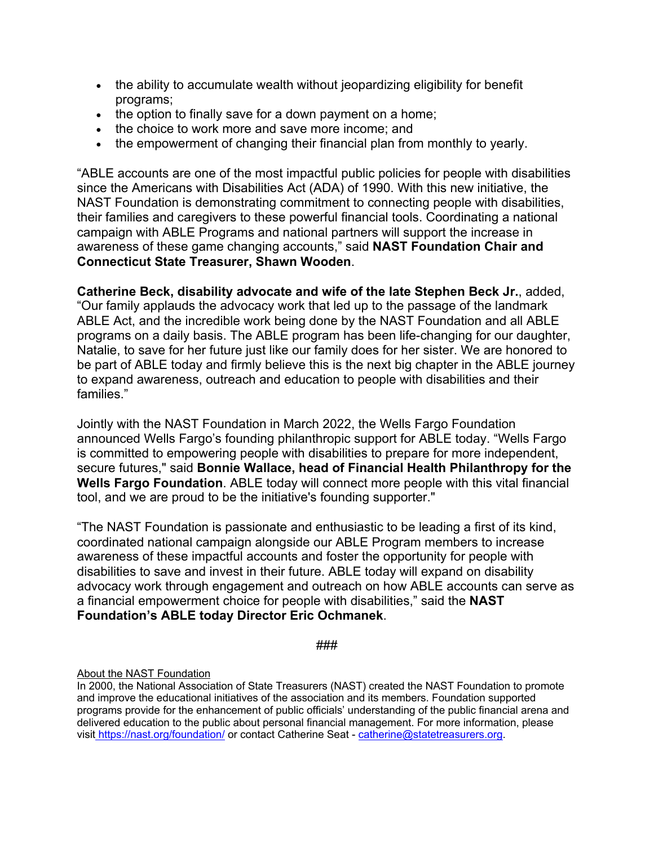- the ability to accumulate wealth without jeopardizing eligibility for benefit programs;
- the option to finally save for a down payment on a home;
- the choice to work more and save more income; and
- the empowerment of changing their financial plan from monthly to yearly.

"ABLE accounts are one of the most impactful public policies for people with disabilities since the Americans with Disabilities Act (ADA) of 1990. With this new initiative, the NAST Foundation is demonstrating commitment to connecting people with disabilities, their families and caregivers to these powerful financial tools. Coordinating a national campaign with ABLE Programs and national partners will support the increase in awareness of these game changing accounts," said **NAST Foundation Chair and Connecticut State Treasurer, Shawn Wooden**.

**Catherine Beck, disability advocate and wife of the late Stephen Beck Jr.**, added, "Our family applauds the advocacy work that led up to the passage of the landmark ABLE Act, and the incredible work being done by the NAST Foundation and all ABLE programs on a daily basis. The ABLE program has been life-changing for our daughter, Natalie, to save for her future just like our family does for her sister. We are honored to be part of ABLE today and firmly believe this is the next big chapter in the ABLE journey to expand awareness, outreach and education to people with disabilities and their families."

Jointly with the NAST Foundation in March 2022, the Wells Fargo Foundation announced Wells Fargo's founding philanthropic support for ABLE today. "Wells Fargo is committed to empowering people with disabilities to prepare for more independent, secure futures," said **Bonnie Wallace, head of Financial Health Philanthropy for the Wells Fargo Foundation**. ABLE today will connect more people with this vital financial tool, and we are proud to be the initiative's founding supporter."

"The NAST Foundation is passionate and enthusiastic to be leading a first of its kind, coordinated national campaign alongside our ABLE Program members to increase awareness of these impactful accounts and foster the opportunity for people with disabilities to save and invest in their future. ABLE today will expand on disability advocacy work through engagement and outreach on how ABLE accounts can serve as a financial empowerment choice for people with disabilities," said the **NAST Foundation's ABLE today Director Eric Ochmanek**.

###

## About the NAST Foundation

In 2000, the National Association of State Treasurers (NAST) created the NAST Foundation to promote and improve the educational initiatives of the association and its members. Foundation supported programs provide for the enhancement of public officials' understanding of the public financial arena and delivered education to the public about personal financial management. For more information, please visit https://nast.org/foundation/ or contact Catherine Seat - catherine@statetreasurers.org.